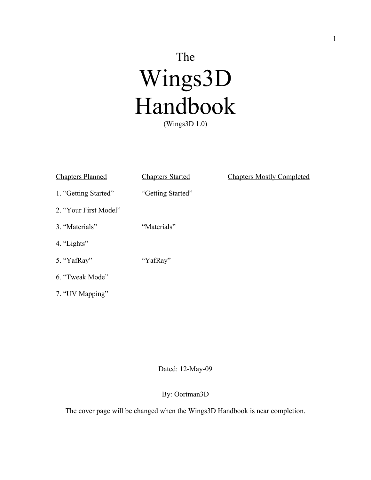# The Wings3D Handbook (Wings3D 1.0)

| <b>Chapters Planned</b> | <b>Chapters Started</b> | <b>Chapters Mostly Completed</b> |
|-------------------------|-------------------------|----------------------------------|
| 1. "Getting Started"    | "Getting Started"       |                                  |
| 2. "Your First Model"   |                         |                                  |
| 3. "Materials"          | "Materials"             |                                  |
| 4. "Lights"             |                         |                                  |
| 5. "YafRay"             | "YafRay"                |                                  |
| 6. "Tweak Mode"         |                         |                                  |

7. "UV Mapping"

#### Dated: 12-May-09

#### By: Oortman3D

The cover page will be changed when the Wings3D Handbook is near completion.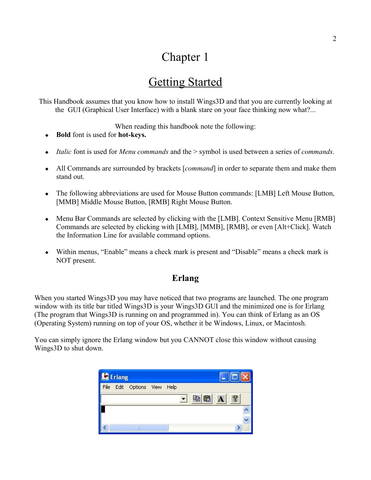## Chapter 1

## Getting Started

This Handbook assumes that you know how to install Wings3D and that you are currently looking at the GUI (Graphical User Interface) with a blank stare on your face thinking now what?...

When reading this handbook note the following:

- **Bold** font is used for **hot-keys.**
- *Italic* font is used for *Menu commands* and the > symbol is used between a series of *commands*.
- All Commands are surrounded by brackets [*command*] in order to separate them and make them stand out.
- The following abbreviations are used for Mouse Button commands: [LMB] Left Mouse Button, [MMB] Middle Mouse Button, [RMB] Right Mouse Button.
- Menu Bar Commands are selected by clicking with the [LMB]. Context Sensitive Menu [RMB] Commands are selected by clicking with [LMB], [MMB], [RMB], or even [Alt+Click]. Watch the Information Line for available command options.
- Within menus, "Enable" means a check mark is present and "Disable" means a check mark is NOT present.

#### **Erlang**

When you started Wings3D you may have noticed that two programs are launched. The one program window with its title bar titled Wings3D is your Wings3D GUI and the minimized one is for Erlang (The program that Wings3D is running on and programmed in). You can think of Erlang as an OS (Operating System) running on top of your OS, whether it be Windows, Linux, or Macintosh.

You can simply ignore the Erlang window but you CANNOT close this window without causing Wings3D to shut down.

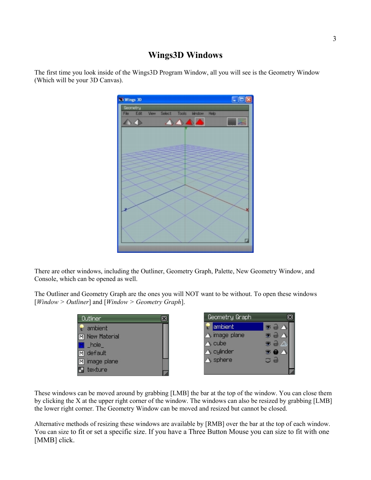#### **Wings3D Windows**

The first time you look inside of the Wings3D Program Window, all you will see is the Geometry Window (Which will be your 3D Canvas).



There are other windows, including the Outliner, Geometry Graph, Palette, New Geometry Window, and Console, which can be opened as well.

The Outliner and Geometry Graph are the ones you will NOT want to be without. To open these windows [*Window > Outliner*] and [*Window > Geometry Graph*].



These windows can be moved around by grabbing [LMB] the bar at the top of the window. You can close them by clicking the X at the upper right corner of the window. The windows can also be resized by grabbing [LMB] the lower right corner. The Geometry Window can be moved and resized but cannot be closed.

Alternative methods of resizing these windows are available by [RMB] over the bar at the top of each window. You can size to fit or set a specific size. If you have a Three Button Mouse you can size to fit with one [MMB] click.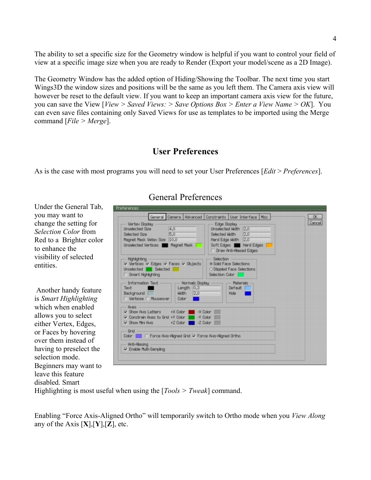The ability to set a specific size for the Geometry window is helpful if you want to control your field of view at a specific image size when you are ready to Render (Export your model/scene as a 2D Image).

The Geometry Window has the added option of Hiding/Showing the Toolbar. The next time you start Wings3D the window sizes and positions will be the same as you left them. The Camera axis view will however be reset to the default view. If you want to keep an important camera axis view for the future, you can save the View [*View > Saved Views: > Save Options Box > Enter a View Name > OK*]. You can even save files containing only Saved Views for use as templates to be imported using the Merge command [*File > Merge*].

#### **User Preferences**

As is the case with most programs you will need to set your User Preferences [*Edit* > *Preferences*].

Under the General Tab, you may want to change the setting for *Selection Color* from Red to a Brighter color to enhance the visibility of selected entities.

 Another handy feature is *Smart Highlighting* which when enabled allows you to select either Vertex, Edges, or Faces by hovering over them instead of having to preselect the selection mode. Beginners may want to leave this feature disabled. Smart

#### General Preferences

|                                                                                                                             |                |                                                     |                                                            | General Camera   Advanced   Constraints   User Interface   Misc                                                                    | 0K     |
|-----------------------------------------------------------------------------------------------------------------------------|----------------|-----------------------------------------------------|------------------------------------------------------------|------------------------------------------------------------------------------------------------------------------------------------|--------|
| Vertex Display<br><b>Unselected Size</b><br>Selected Size<br>Magnet Mask Vetex Size 10,0<br>Unselected Vertices Magnet Mask | 4.0<br>5.0     |                                                     | Edge Display                                               | Unselected Hidth 2.0<br>Selected Width 2.0<br>Hard Edge Hidth 2.0<br>Soft Edges <b>No. Hard Edges</b><br>□ Draw Anti-Aliased Edges | Cancel |
| <b>Highlighting</b><br>V Vertices V Edges V Faces V Objects<br>Unselected Selected<br>□ Smart Highlighting                  |                |                                                     | Selection<br>· Solid Face Selections<br>Selection Color    | O Stippled Face Selections                                                                                                         |        |
| Information Text -<br>Text<br>Background<br>□ Verbose □ Mouseover                                                           | Width<br>Color | - Normals Displau -<br>Length $[0,3]$<br>[2.0]<br>π |                                                            | Materials<br>Default<br>Hole                                                                                                       |        |
| Aves -<br>I Show Avis Letters +X Color<br>Constrain Aves to Grid +Y Color<br>Show Mini Avis + Z Color                       |                | -Y Color                                            | $-X$ Color<br>$-7$ Color                                   |                                                                                                                                    |        |
| Grid                                                                                                                        |                |                                                     | Color ■ Force Avis-Aligned Grid 区 Force Avis-Aligned Ortho |                                                                                                                                    |        |
|                                                                                                                             |                |                                                     |                                                            |                                                                                                                                    |        |

Highlighting is most useful when using the [*Tools > Tweak*] command.

Enabling "Force Axis-Aligned Ortho" will temporarily switch to Ortho mode when you *View Along* any of the Axis [**X**],[**Y**],[**Z**], etc.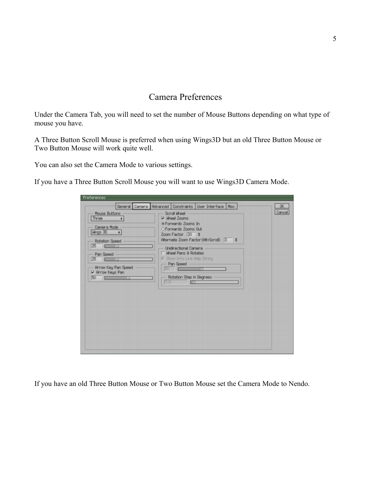#### Camera Preferences

Under the Camera Tab, you will need to set the number of Mouse Buttons depending on what type of mouse you have.

A Three Button Scroll Mouse is preferred when using Wings3D but an old Three Button Mouse or Two Button Mouse will work quite well.

You can also set the Camera Mode to various settings.

If you have a Three Button Scroll Mouse you will want to use Wings3D Camera Mode.

If you have an old Three Button Mouse or Two Button Mouse set the Camera Mode to Nendo.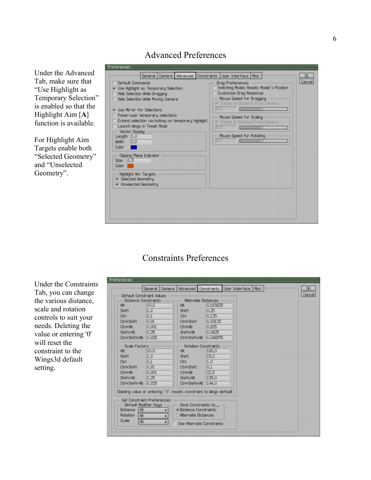#### Under the Advanced Tab, make sure that "Use Highlight as Temporary Selection" is enabled so that the Highlight Aim [**A**] function is available.

For Highlight Aim Targets enable both "Selected Geometry" and "Unselected Geometry".

| General Camera Advanced Constraints User Interface Misc<br>□ Default Commands<br>V Use Highlight as Temporary Selection<br>F Hide Selection While Dragging<br>F Hide Selection While Moving Camera<br>$\nabla$ Use Mirror for Selections<br>Power-user temporary selections<br>Extend selection via hotkey on temporary highlight<br>Launch Wings in Tweak Mode<br>Vector Display<br>Length $1.0$<br>$M$ dth $2,0$<br>Color<br>Clipping Plane Indicator | Drag Preferences<br>Switching Modes Resets Model's Position<br><b>Customize Drag Response</b><br>Mouse Speed for Dragging<br><b>Ⅳ</b> Factor in Distance from Camera<br>5.0<br>Mouse Speed for Scaling<br><b>Ⅳ</b> Factor in Distance from Camera<br>5.0<br>Mouse Speed for Rotating<br>5.0 | 0K<br>Cancel |
|---------------------------------------------------------------------------------------------------------------------------------------------------------------------------------------------------------------------------------------------------------------------------------------------------------------------------------------------------------------------------------------------------------------------------------------------------------|---------------------------------------------------------------------------------------------------------------------------------------------------------------------------------------------------------------------------------------------------------------------------------------------|--------------|
| $Size$ 1.5<br>Color  <br>Highlight Aim Targets<br><b>▽</b> Selected Geometry<br>V Unselected Geometry                                                                                                                                                                                                                                                                                                                                                   |                                                                                                                                                                                                                                                                                             |              |

#### Constraints Preferences

Under the Constraints Tab, you can change the various distance, scale and rotation controls to suit your needs. Deleting the value or entering '0' will reset the constraint to the Wings3d default setting.

| Default Constraint Values  |                            |                                                                   |          | General Camera   Advanced   Constraints   User Interface   Misc | OK<br>Cancel |
|----------------------------|----------------------------|-------------------------------------------------------------------|----------|-----------------------------------------------------------------|--------------|
| – Distance Constraints     |                            | - Alternate Distances                                             |          |                                                                 |              |
| Alt                        | 10.0                       | <b>At</b>                                                         | 0.015625 |                                                                 |              |
| Shift                      | 1.0                        | Shift                                                             | 0.25     |                                                                 |              |
| Ctrl                       | 0.1                        | Ctrl                                                              | 0.125    |                                                                 |              |
| Ctrl+Shift                 | [0, 01]                    | Ctrl+Shift                                                        | 0,03125  |                                                                 |              |
| Ctrl+Alt                   | 0,001                      | Ctrl+At                                                           | 0,625    |                                                                 |              |
| Shift+Alt                  | 0.25                       | Shift+Alt                                                         | 0,0625   |                                                                 |              |
| Ctrl+Shift+Alt 0.025       |                            | Ctrl+Shift+Alt 0.046875                                           |          |                                                                 |              |
| - Scale Factors -          |                            | <b>Rotation Constraints</b>                                       |          |                                                                 |              |
| Alt                        | 10,0                       | At                                                                | 180,0    |                                                                 |              |
| Shift                      | 1,0                        | Shift                                                             | 15,0     |                                                                 |              |
| Ctrl                       | 0.1                        | Ctrl                                                              | 1.0      |                                                                 |              |
| Ctrl+Shift                 | 0.01                       | Ctrl+Shift                                                        | 0.1      |                                                                 |              |
| Ctrl+Alt                   | 0,001                      | Ctrl+Alt                                                          | 22.5     |                                                                 |              |
| Shift+Att                  | [0.25]                     | Shift+Alt                                                         | 135.0    |                                                                 |              |
| Ctrl+Shift+Alt             | 0,025                      | Ctrl+Shift+At 144.0                                               |          |                                                                 |              |
|                            |                            | Deleting value or entering '0' resets constraint to kings default |          |                                                                 |              |
|                            |                            |                                                                   |          |                                                                 |              |
|                            | Set Constraint Preferences |                                                                   |          |                                                                 |              |
|                            | Default Modifier Keus —    | $-$ Save Constraints to $-$                                       |          |                                                                 |              |
| Distance   Alt             |                            | <b>O Distance Constraints</b>                                     |          |                                                                 |              |
| Rotation<br><b>RI</b>      |                            | O Alternate Distances                                             |          |                                                                 |              |
| <b>Scale</b><br><b>RIL</b> | ٠                          | Lise Atternate Constraints                                        |          |                                                                 |              |

#### Advanced Preferences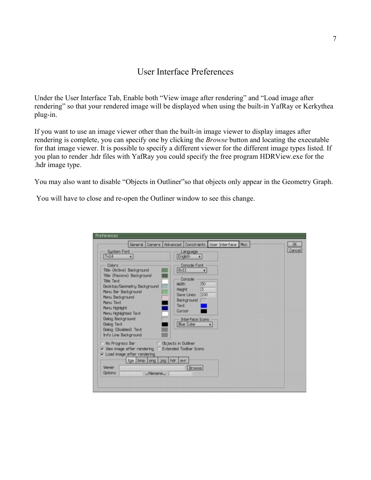#### User Interface Preferences

Under the User Interface Tab, Enable both "View image after rendering" and "Load image after rendering" so that your rendered image will be displayed when using the built-in YafRay or Kerkythea plug-in.

If you want to use an image viewer other than the built-in image viewer to display images after rendering is complete, you can specify one by clicking the *Browse* button and locating the executable for that image viewer. It is possible to specify a different viewer for the different image types listed. If you plan to render .hdr files with YafRay you could specify the free program HDRView.exe for the .hdr image type.

You may also want to disable "Objects in Outliner"so that objects only appear in the Geometry Graph.

You will have to close and re-open the Outliner window to see this change.

| System Font<br>7 <sub>14</sub><br>$\bullet$                                                                                                                                                                                                                                                                    | General Camera   Advanced   Constraints   User Interface   Misc<br>Language<br>English<br>$\bullet$                                                                                        | 0K<br>Cancel |
|----------------------------------------------------------------------------------------------------------------------------------------------------------------------------------------------------------------------------------------------------------------------------------------------------------------|--------------------------------------------------------------------------------------------------------------------------------------------------------------------------------------------|--------------|
| Colors:<br>Title (Active) Background<br>Title (Passive) Background<br><b>Title Text</b><br>Desktop/Geometry Background<br>Menu Bar Background<br>Menu Background<br>Menu Text<br>Menu Highlight<br>Menu Highlighted Text<br>Dialog Background<br>Dialog Text<br>Dialog (Disabled) Text<br>Info Line Background | Console Font<br>6x11<br>٠<br>Console<br>50<br><b>Width</b><br>$\sqrt{3}$<br><b>Height</b><br>100<br>Save Lines<br>Background<br>Text<br>Curson<br>Interface Icons<br><b>Blue Cube</b><br>٠ |              |
| Mo Progress Bar<br><b>Configuration</b> Objects in Outliner<br>V View image after rendering  □ Extended Toolbar Icons<br>□ Load image after rendering<br>tga bmp   png   jpg   hdr   exr<br>Viewer<br><b>Options</b><br>filename                                                                               | Browse                                                                                                                                                                                     |              |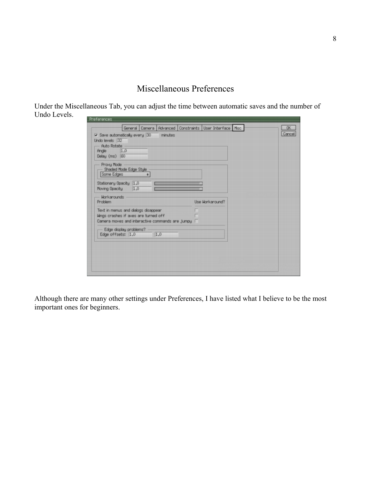#### Miscellaneous Preferences

Under the Miscellaneous Tab, you can adjust the time between automatic saves and the number of Undo Levels.

| Undo levels 32<br>- Auto Rotate -                                                       |     |                 |  |
|-----------------------------------------------------------------------------------------|-----|-----------------|--|
| Angle 1.0<br>Delay (ms) 60                                                              |     |                 |  |
| Provu Mode<br>- Shaded Mode Edge Style<br>Some Edges<br>٠                               |     |                 |  |
| Stationary Opacity 1.0<br>Moving Opacity 1.0                                            |     |                 |  |
| - Workarounds<br>Problem                                                                |     | Use Workaround? |  |
| Text in menus and dialogs disappear                                                     |     |                 |  |
| Wings crashes if aves are turned off<br>Camera moves and interactive commands are jumpy |     |                 |  |
| - Edge display problems?<br>Edge offsets: 1.0                                           | 1.0 |                 |  |
|                                                                                         |     |                 |  |

Although there are many other settings under Preferences, I have listed what I believe to be the most important ones for beginners.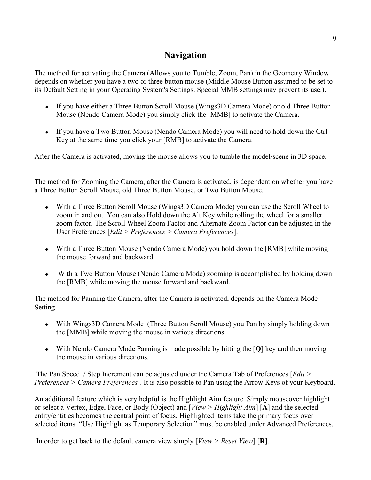#### **Navigation**

The method for activating the Camera (Allows you to Tumble, Zoom, Pan) in the Geometry Window depends on whether you have a two or three button mouse (Middle Mouse Button assumed to be set to its Default Setting in your Operating System's Settings. Special MMB settings may prevent its use.).

- If you have either a Three Button Scroll Mouse (Wings3D Camera Mode) or old Three Button Mouse (Nendo Camera Mode) you simply click the [MMB] to activate the Camera.
- If you have a Two Button Mouse (Nendo Camera Mode) you will need to hold down the Ctrl Key at the same time you click your [RMB] to activate the Camera.

After the Camera is activated, moving the mouse allows you to tumble the model/scene in 3D space.

The method for Zooming the Camera, after the Camera is activated, is dependent on whether you have a Three Button Scroll Mouse, old Three Button Mouse, or Two Button Mouse.

- With a Three Button Scroll Mouse (Wings3D Camera Mode) you can use the Scroll Wheel to zoom in and out. You can also Hold down the Alt Key while rolling the wheel for a smaller zoom factor. The Scroll Wheel Zoom Factor and Alternate Zoom Factor can be adjusted in the User Preferences [*Edit > Preferences > Camera Preferences*].
- With a Three Button Mouse (Nendo Camera Mode) you hold down the [RMB] while moving the mouse forward and backward.
- With a Two Button Mouse (Nendo Camera Mode) zooming is accomplished by holding down the [RMB] while moving the mouse forward and backward.

The method for Panning the Camera, after the Camera is activated, depends on the Camera Mode Setting.

- With Wings3D Camera Mode (Three Button Scroll Mouse) you Pan by simply holding down the [MMB] while moving the mouse in various directions.
- With Nendo Camera Mode Panning is made possible by hitting the [**Q**] key and then moving the mouse in various directions.

 The Pan Speed / Step Increment can be adjusted under the Camera Tab of Preferences [*Edit > Preferences > Camera Preferences*]. It is also possible to Pan using the Arrow Keys of your Keyboard.

An additional feature which is very helpful is the Highlight Aim feature. Simply mouseover highlight or select a Vertex, Edge, Face, or Body (Object) and [*View > Highlight Aim*] [**A**] and the selected entity/entities becomes the central point of focus. Highlighted items take the primary focus over selected items. "Use Highlight as Temporary Selection" must be enabled under Advanced Preferences.

In order to get back to the default camera view simply [*View > Reset View*] [**R**].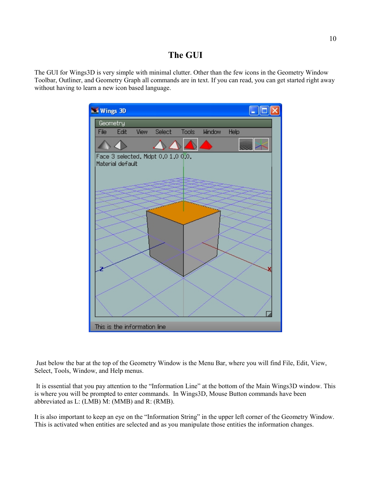#### **The GUI**

The GUI for Wings3D is very simple with minimal clutter. Other than the few icons in the Geometry Window Toolbar, Outliner, and Geometry Graph all commands are in text. If you can read, you can get started right away without having to learn a new icon based language.



 Just below the bar at the top of the Geometry Window is the Menu Bar, where you will find File, Edit, View, Select, Tools, Window, and Help menus.

 It is essential that you pay attention to the "Information Line" at the bottom of the Main Wings3D window. This is where you will be prompted to enter commands. In Wings3D, Mouse Button commands have been abbreviated as L: (LMB) M: (MMB) and R: (RMB).

It is also important to keep an eye on the "Information String" in the upper left corner of the Geometry Window. This is activated when entities are selected and as you manipulate those entities the information changes.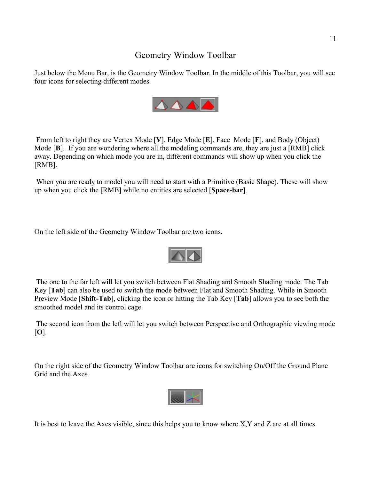#### Geometry Window Toolbar

Just below the Menu Bar, is the Geometry Window Toolbar. In the middle of this Toolbar, you will see four icons for selecting different modes.



 From left to right they are Vertex Mode [**V**], Edge Mode [**E**], Face Mode [**F**], and Body (Object) Mode [**B**]. If you are wondering where all the modeling commands are, they are just a [RMB] click away. Depending on which mode you are in, different commands will show up when you click the [RMB].

 When you are ready to model you will need to start with a Primitive (Basic Shape). These will show up when you click the [RMB] while no entities are selected [**Space-bar**].

On the left side of the Geometry Window Toolbar are two icons.



 The one to the far left will let you switch between Flat Shading and Smooth Shading mode. The Tab Key [**Tab**] can also be used to switch the mode between Flat and Smooth Shading. While in Smooth Preview Mode [**Shift-Tab**], clicking the icon or hitting the Tab Key [**Tab**] allows you to see both the smoothed model and its control cage.

 The second icon from the left will let you switch between Perspective and Orthographic viewing mode [**O**].

On the right side of the Geometry Window Toolbar are icons for switching On/Off the Ground Plane Grid and the Axes.



It is best to leave the Axes visible, since this helps you to know where X,Y and Z are at all times.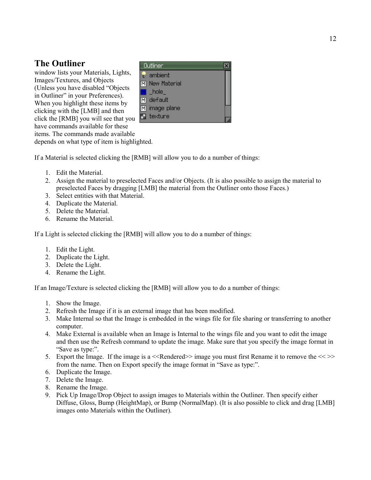#### **The Outliner**

window lists your Materials, Lights, Images/Textures, and Objects (Unless you have disabled "Objects in Outliner" in your Preferences). When you highlight these items by clicking with the [LMB] and then click the [RMB] you will see that you  $\Box$  texture have commands available for these items. The commands made available



depends on what type of item is highlighted.

If a Material is selected clicking the [RMB] will allow you to do a number of things:

- 1. Edit the Material.
- 2. Assign the material to preselected Faces and/or Objects. (It is also possible to assign the material to preselected Faces by dragging [LMB] the material from the Outliner onto those Faces.)
- 3. Select entities with that Material.
- 4. Duplicate the Material.
- 5. Delete the Material.
- 6. Rename the Material.

If a Light is selected clicking the [RMB] will allow you to do a number of things:

- 1. Edit the Light.
- 2. Duplicate the Light.
- 3. Delete the Light.
- 4. Rename the Light.

If an Image/Texture is selected clicking the [RMB] will allow you to do a number of things:

- 1. Show the Image.
- 2. Refresh the Image if it is an external image that has been modified.
- 3. Make Internal so that the Image is embedded in the wings file for file sharing or transferring to another computer.
- 4. Make External is available when an Image is Internal to the wings file and you want to edit the image and then use the Refresh command to update the image. Make sure that you specify the image format in "Save as type:".
- 5. Export the Image. If the image is a  $\leq$ Rendered $\geq$  image you must first Rename it to remove the  $\leq$   $\geq$ from the name. Then on Export specify the image format in "Save as type:".
- 6. Duplicate the Image.
- 7. Delete the Image.
- 8. Rename the Image.
- 9. Pick Up Image/Drop Object to assign images to Materials within the Outliner. Then specify either Diffuse, Gloss, Bump (HeightMap), or Bump (NormalMap). (It is also possible to click and drag [LMB] images onto Materials within the Outliner).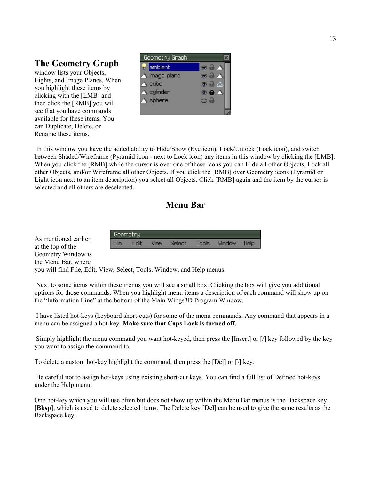#### **The Geometry Graph**

window lists your Objects, Lights, and Image Planes. When you highlight these items by clicking with the [LMB] and then click the [RMB] you will see that you have commands available for these items. You can Duplicate, Delete, or Rename these items.



 In this window you have the added ability to Hide/Show (Eye icon), Lock/Unlock (Lock icon), and switch between Shaded/Wireframe (Pyramid icon - next to Lock icon) any items in this window by clicking the [LMB]. When you click the [RMB] while the cursor is over one of these icons you can Hide all other Objects, Lock all other Objects, and/or Wireframe all other Objects. If you click the [RMB] over Geometry icons (Pyramid or Light icon next to an item description) you select all Objects. Click [RMB] again and the item by the cursor is selected and all others are deselected.

#### **Menu Bar**

Geometry: View File Edit **Select** Tools **Window** Help

As mentioned earlier, at the top of the Geometry Window is the Menu Bar, where

you will find File, Edit, View, Select, Tools, Window, and Help menus.

 Next to some items within these menus you will see a small box. Clicking the box will give you additional options for those commands. When you highlight menu items a description of each command will show up on the "Information Line" at the bottom of the Main Wings3D Program Window.

 I have listed hot-keys (keyboard short-cuts) for some of the menu commands. Any command that appears in a menu can be assigned a hot-key. **Make sure that Caps Lock is turned off**.

 Simply highlight the menu command you want hot-keyed, then press the [Insert] or [/] key followed by the key you want to assign the command to.

To delete a custom hot-key highlight the command, then press the [Del] or  $[\cdot]$  key.

 Be careful not to assign hot-keys using existing short-cut keys. You can find a full list of Defined hot-keys under the Help menu.

One hot-key which you will use often but does not show up within the Menu Bar menus is the Backspace key [**Bksp**], which is used to delete selected items. The Delete key [**Del**] can be used to give the same results as the Backspace key.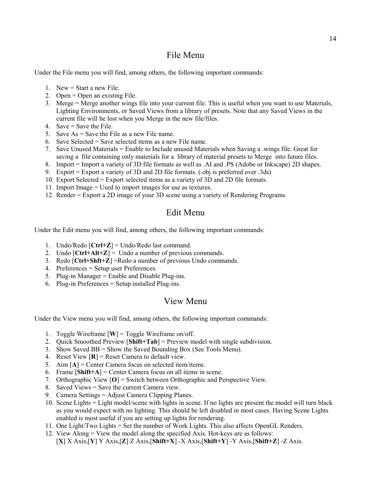#### File Menu

Under the File menu you will find, among others, the following important commands:

- 1. New = Start a new File.
- 2. Open = Open an existing File.
- 3. Merge = Merge another wings file into your current file. This is useful when you want to use Materials, Lighting Environments, or Saved Views from a library of presets. Note that any Saved Views in the current file will be lost when you Merge in the new file/files.
- 4. Save  $=$  Save the File.
- 5. Save As = Save the File as a new File name.
- 6. Save Selected = Save selected items as a new File name.
- 7. Save Unused Materials = Enable to Include unused Materials when Saving a .wings file. Great for saving a file containing only materials for a library of material presets to Merge into future files.
- 8. Import = Import a variety of 3D file formats as well as .AI and .PS (Adobe or Inkscape) 2D shapes.
- 9. Export = Export a variety of 3D and 2D file formats. (.obj is preferred over .3ds)
- 10. Export Selected = Export selected items as a variety of 3D and 2D file formats.
- 11. Import Image = Used to import images for use as textures.
- 12. Render = Export a 2D image of your 3D scene using a variety of Rendering Programs.

#### Edit Menu

Under the Edit menu you will find, among others, the following important commands:

- 1. Undo/Redo [**Ctrl+Z**] = Undo/Redo last command.
- 2. Undo  $[Ctrl+Alt+Z] =$  Undo a number of previous commands.
- 3. Redo [**Ctrl+Shft+Z**] =Redo a number of previous Undo commands.
- 4. Preferences = Setup user Preferences.
- 5. Plug-in Manager = Enable and Disable Plug-ins.
- 6. Plug-in Preferences = Setup installed Plug-ins.

#### View Menu

Under the View menu you will find, among others, the following important commands:

- 1. Toggle Wireframe [**W**] = Toggle Wireframe on/off.
- 2. Quick Smoothed Preview [**Shift+Tab**] = Preview model with single subdivision.
- 3. Show Saved BB = Show the Saved Bounding Box (See Tools Menu).
- 4. Reset View [**R**] = Reset Camera to default view.
- 5. Aim [**A**] = Center Camera focus on selected item/items.
- 6. Frame [**Shift+A**] = Center Camera focus on all items in scene.
- 7. Orthographic View [**O**] = Switch between Orthographic and Perspective View.
- 8. Saved Views = Save the current Camera view.
- 9. Camera Settings = Adjust Camera Clipping Planes.
- 10. Scene Lights = Light model/scene with lights in scene. If no lights are present the model will turn black as you would expect with no lighting. This should be left disabled in most cases. Having Scene Lights enabled is most useful if you are setting up lights for rendering.
- 11. One Light/Two Lights = Set the number of Work Lights. This also affects OpenGL Renders.
- 12. View Along = View the model along the specified Axis. Hot-keys are as follows: [**X**] X Axis,[**Y**] Y Axis,[**Z**] Z Axis,[**Shift+X**] -X Axis,[**Shift+Y**] -Y Axis,[**Shift+Z**] -Z Axis.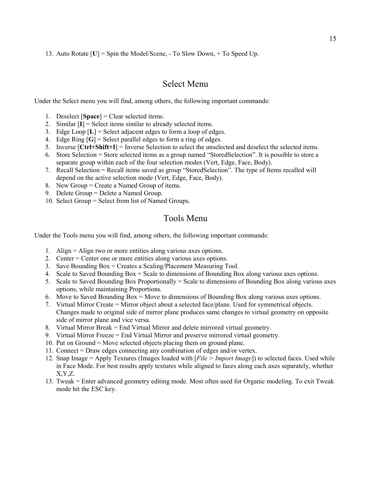13. Auto Rotate [**U**] = Spin the Model/Scene, - To Slow Down, + To Speed Up.

#### Select Menu

Under the Select menu you will find, among others, the following important commands:

- 1. Deselect [**Space**] = Clear selected items.
- 2. Similar [**I**] = Select items similar to already selected items.
- 3. Edge Loop [**L**] = Select adjacent edges to form a loop of edges.
- 4. Edge Ring [**G**] = Select parallel edges to form a ring of edges.
- 5. Inverse [**Ctrl+Shift+I**] = Inverse Selection to select the unselected and deselect the selected items.
- 6. Store Selection = Store selected items as a group named "StoredSelection". It is possible to store a separate group within each of the four selection modes (Vert, Edge, Face, Body).
- 7. Recall Selection = Recall items saved as group "StoredSelection". The type of Items recalled will depend on the active selection mode (Vert, Edge, Face, Body).
- 8. New Group = Create a Named Group of items.
- 9. Delete Group = Delete a Named Group.
- 10. Select Group = Select from list of Named Groups.

#### Tools Menu

Under the Tools menu you will find, among others, the following important commands:

- 1. Align = Align two or more entities along various axes options.
- 2. Center = Center one or more entities along various axes options.
- 3. Save Bounding Box = Creates a Scaling/Placement Measuring Tool.
- 4. Scale to Saved Bounding Box = Scale to dimensions of Bounding Box along various axes options.
- 5. Scale to Saved Bounding Box Proportionally = Scale to dimensions of Bounding Box along various axes options, while maintaining Proportions.
- 6. Move to Saved Bounding Box = Move to dimensions of Bounding Box along various axes options.
- 7. Virtual Mirror Create = Mirror object about a selected face/plane. Used for symmetrical objects. Changes made to original side of mirror plane produces same changes to virtual geometry on opposite side of mirror plane and vice versa.
- 8. Virtual Mirror Break = End Virtual Mirror and delete mirrored virtual geometry.
- 9. Virtual Mirror Freeze = End Virtual Mirror and preserve mirrored virtual geometry.
- 10. Put on Ground = Move selected objects placing them on ground plane.
- 11. Connect = Draw edges connecting any combination of edges and/or vertex.
- 12. Snap Image = Apply Textures (Images loaded with [*File > Import Image*]) to selected faces. Used while in Face Mode. For best results apply textures while aligned to faces along each axes separately, whether X,Y,Z.
- 13. Tweak = Enter advanced geometry editing mode. Most often used for Organic modeling. To exit Tweak mode hit the ESC key.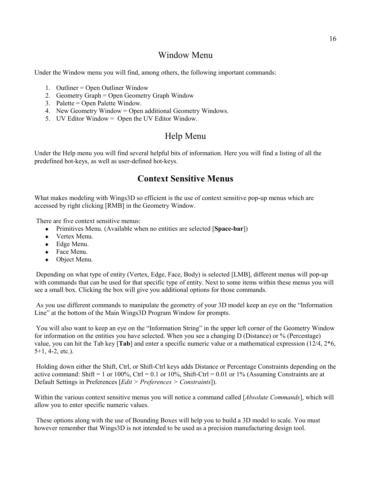#### Window Menu

Under the Window menu you will find, among others, the following important commands:

- 1. Outliner = Open Outliner Window
- 2. Geometry Graph = Open Geometry Graph Window
- 3. Palette = Open Palette Window.
- 4. New Geometry Window = Open additional Geometry Windows.
- 5. UV Editor Window = Open the UV Editor Window.

#### Help Menu

Under the Help menu you will find several helpful bits of information. Here you will find a listing of all the predefined hot-keys, as well as user-defined hot-keys.

#### **Context Sensitive Menus**

What makes modeling with Wings3D so efficient is the use of context sensitive pop-up menus which are accessed by right clicking [RMB] in the Geometry Window.

There are five context sensitive menus:

- Primitives Menu. (Available when no entities are selected [**Space-bar**])
- Vertex Menu.
- Edge Menu.
- ◆ Face Menu.
- Object Menu.

 Depending on what type of entity (Vertex, Edge, Face, Body) is selected [LMB], different menus will pop-up with commands that can be used for that specific type of entity. Next to some items within these menus you will see a small box. Clicking the box will give you additional options for those commands.

 As you use different commands to manipulate the geometry of your 3D model keep an eye on the "Information Line" at the bottom of the Main Wings3D Program Window for prompts.

 You will also want to keep an eye on the "Information String" in the upper left corner of the Geometry Window for information on the entities you have selected. When you see a changing D (Distance) or % (Percentage) value, you can hit the Tab key [**Tab**] and enter a specific numeric value or a mathematical expression (12/4, 2\*6,  $5+1, 4-2, etc.$ ).

 Holding down either the Shift, Ctrl, or Shift-Ctrl keys adds Distance or Percentage Constraints depending on the active command: Shift = 1 or 100%, Ctrl = 0.1 or 10%, Shift-Ctrl = 0.01 or 1% (Assuming Constraints are at Default Settings in Preferences [*Edit > Preferences > Constraints*]).

Within the various context sensitive menus you will notice a command called [*Absolute Commands*], which will allow you to enter specific numeric values.

 These options along with the use of Bounding Boxes will help you to build a 3D model to scale. You must however remember that Wings3D is not intended to be used as a precision manufacturing design tool.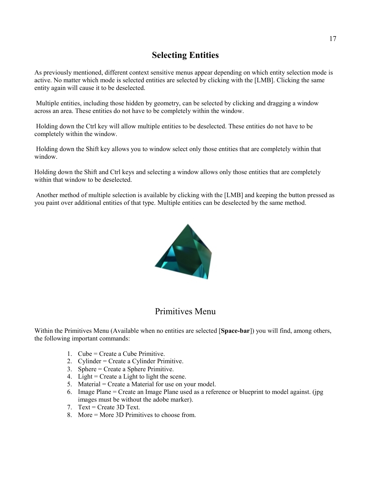#### **Selecting Entities**

As previously mentioned, different context sensitive menus appear depending on which entity selection mode is active. No matter which mode is selected entities are selected by clicking with the [LMB]. Clicking the same entity again will cause it to be deselected.

 Multiple entities, including those hidden by geometry, can be selected by clicking and dragging a window across an area. These entities do not have to be completely within the window.

 Holding down the Ctrl key will allow multiple entities to be deselected. These entities do not have to be completely within the window.

 Holding down the Shift key allows you to window select only those entities that are completely within that window.

Holding down the Shift and Ctrl keys and selecting a window allows only those entities that are completely within that window to be deselected.

 Another method of multiple selection is available by clicking with the [LMB] and keeping the button pressed as you paint over additional entities of that type. Multiple entities can be deselected by the same method.



#### Primitives Menu

Within the Primitives Menu (Available when no entities are selected [**Space-bar**]) you will find, among others, the following important commands:

- 1. Cube = Create a Cube Primitive.
- 2. Cylinder = Create a Cylinder Primitive.
- 3. Sphere = Create a Sphere Primitive.
- 4. Light = Create a Light to light the scene.
- 5. Material = Create a Material for use on your model.
- 6. Image Plane = Create an Image Plane used as a reference or blueprint to model against. (jpg images must be without the adobe marker).
- 7. Text = Create 3D Text.
- 8. More = More 3D Primitives to choose from.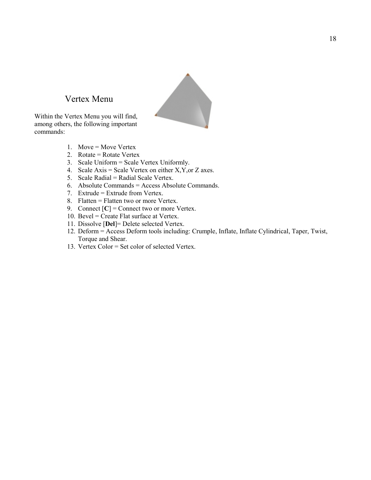#### Vertex Menu

Within the Vertex Menu you will find, among others, the following important commands:

- 1. Move = Move Vertex
- 2. Rotate = Rotate Vertex
- 3. Scale Uniform = Scale Vertex Uniformly.
- 4. Scale Axis = Scale Vertex on either  $X, Y,$  or  $Z$  axes.
- 5. Scale Radial = Radial Scale Vertex.
- 6. Absolute Commands = Access Absolute Commands.
- 7. Extrude = Extrude from Vertex.
- 8. Flatten = Flatten two or more Vertex.
- 9. Connect  $[C]$  = Connect two or more Vertex.
- 10. Bevel = Create Flat surface at Vertex.
- 11. Dissolve [**Del**]= Delete selected Vertex.
- 12. Deform = Access Deform tools including: Crumple, Inflate, Inflate Cylindrical, Taper, Twist, Torque and Shear.
- 13. Vertex Color = Set color of selected Vertex.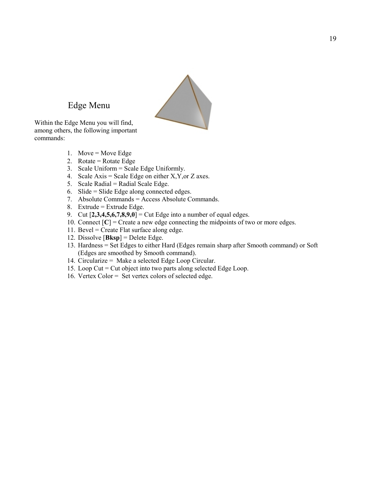### Edge Menu

Within the Edge Menu you will find, among others, the following important commands:

- 1. Move = Move Edge
- 2. Rotate = Rotate Edge
- 3. Scale Uniform = Scale Edge Uniformly.
- 4. Scale Axis = Scale Edge on either  $X, Y,$  or  $Z$  axes.
- 5. Scale Radial = Radial Scale Edge.
- 6. Slide = Slide Edge along connected edges.
- 7. Absolute Commands = Access Absolute Commands.
- 8. Extrude = Extrude Edge.
- 9. Cut [**2,3,4,5,6,7,8,9,0**] = Cut Edge into a number of equal edges.
- 10. Connect  $[C]$  = Create a new edge connecting the midpoints of two or more edges.
- 11. Bevel = Create Flat surface along edge.
- 12. Dissolve [**Bksp**] = Delete Edge.
- 13. Hardness = Set Edges to either Hard (Edges remain sharp after Smooth command) or Soft (Edges are smoothed by Smooth command).
- 14. Circularize = Make a selected Edge Loop Circular.
- 15. Loop Cut = Cut object into two parts along selected Edge Loop.
- 16. Vertex Color = Set vertex colors of selected edge.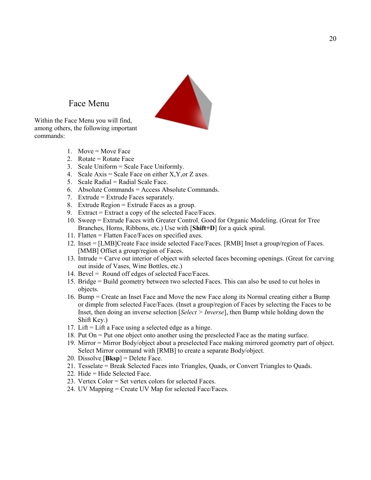

#### Face Menu

Within the Face Menu you will find, among others, the following important commands:

- 1. Move = Move Face
- 2. Rotate = Rotate Face
- 3. Scale Uniform = Scale Face Uniformly.
- 4. Scale Axis = Scale Face on either X, Y, or Z axes.
- 5. Scale Radial = Radial Scale Face.
- 6. Absolute Commands = Access Absolute Commands.
- 7. Extrude = Extrude Faces separately.
- 8. Extrude Region = Extrude Faces as a group.
- 9. Extract = Extract a copy of the selected Face/Faces.
- 10. Sweep = Extrude Faces with Greater Control. Good for Organic Modeling. (Great for Tree Branches, Horns, Ribbons, etc.) Use with [**Shift+D**] for a quick spiral.
- 11. Flatten = Flatten Face/Faces on specified axes.
- 12. Inset = [LMB]Create Face inside selected Face/Faces. [RMB] Inset a group/region of Faces. [MMB] Offset a group/region of Faces.
- 13. Intrude = Carve out interior of object with selected faces becoming openings. (Great for carving out inside of Vases, Wine Bottles, etc.)
- 14. Bevel = Round off edges of selected Face/Faces.
- 15. Bridge = Build geometry between two selected Faces. This can also be used to cut holes in objects.
- 16. Bump = Create an Inset Face and Move the new Face along its Normal creating either a Bump or dimple from selected Face/Faces. (Inset a group/region of Faces by selecting the Faces to be Inset, then doing an inverse selection [*Select > Inverse*], then Bump while holding down the Shift Key.)
- 17. Lift = Lift a Face using a selected edge as a hinge.
- 18. Put On = Put one object onto another using the preselected Face as the mating surface.
- 19. Mirror = Mirror Body/object about a preselected Face making mirrored geometry part of object. Select Mirror command with [RMB] to create a separate Body/object.
- 20. Dissolve [**Bksp**] = Delete Face.
- 21. Tesselate = Break Selected Faces into Triangles, Quads, or Convert Triangles to Quads.
- 22. Hide = Hide Selected Face.
- 23. Vertex Color = Set vertex colors for selected Faces.
- 24. UV Mapping = Create UV Map for selected Face/Faces.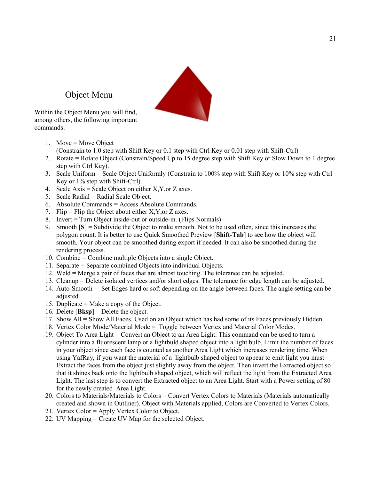

Object Menu

Within the Object Menu you will find, among others, the following important commands:

- 1. Move = Move Object (Constrain to 1.0 step with Shift Key or 0.1 step with Ctrl Key or 0.01 step with Shift-Ctrl)
- 2. Rotate = Rotate Object (Constrain/Speed Up to 15 degree step with Shift Key or Slow Down to 1 degree step with Ctrl Key).
- 3. Scale Uniform = Scale Object Uniformly (Constrain to 100% step with Shift Key or 10% step with Ctrl Key or 1% step with Shift-Ctrl).
- 4. Scale Axis = Scale Object on either X,Y,or Z axes.
- 5. Scale Radial = Radial Scale Object.
- 6. Absolute Commands = Access Absolute Commands.
- 7. Flip = Flip the Object about either  $X, Y, or Z$  axes.
- 8. Invert = Turn Object inside-out or outside-in. (Flips Normals)
- 9. Smooth [**S**] = Subdivide the Object to make smooth. Not to be used often, since this increases the polygon count. It is better to use Quick Smoothed Preview [**Shift-Tab**] to see how the object will smooth. Your object can be smoothed during export if needed. It can also be smoothed during the rendering process.
- 10. Combine = Combine multiple Objects into a single Object.
- 11. Separate = Separate combined Objects into individual Objects.
- 12. Weld = Merge a pair of faces that are almost touching. The tolerance can be adjusted.
- 13. Cleanup = Delete isolated vertices and/or short edges. The tolerance for edge length can be adjusted.
- 14. Auto-Smooth = Set Edges hard or soft depending on the angle between faces. The angle setting can be adjusted.
- 15. Duplicate = Make a copy of the Object.
- 16. Delete [**Bksp**] = Delete the object.
- 17. Show All = Show All Faces. Used on an Object which has had some of its Faces previously Hidden.
- 18. Vertex Color Mode/Material Mode = Toggle between Vertex and Material Color Modes.
- 19. Object To Area Light = Convert an Object to an Area Light. This command can be used to turn a cylinder into a fluorescent lamp or a lightbuld shaped object into a light bulb. Limit the number of faces in your object since each face is counted as another Area Light which increases rendering time. When using YafRay, if you want the material of a lightbulb shaped object to appear to emit light you must Extract the faces from the object just slightly away from the object. Then invert the Extracted object so that it shines back onto the lightbulb shaped object, which will reflect the light from the Extracted Area Light. The last step is to convert the Extracted object to an Area Light. Start with a Power setting of 80 for the newly created Area Light.
- 20. Colors to Materials/Materials to Colors = Convert Vertex Colors to Materials (Materials automatically created and shown in Outliner). Object with Materials applied, Colors are Converted to Vertex Colors.
- 21. Vertex Color = Apply Vertex Color to Object.
- 22. UV Mapping = Create UV Map for the selected Object.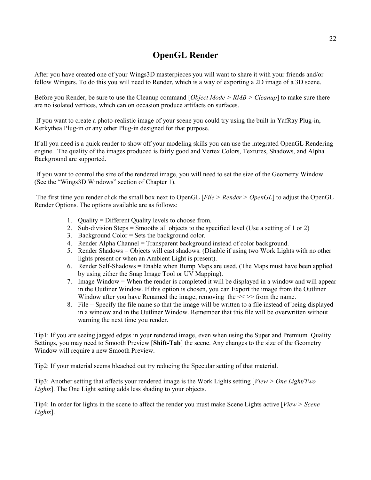#### **OpenGL Render**

After you have created one of your Wings3D masterpieces you will want to share it with your friends and/or fellow Wingers. To do this you will need to Render, which is a way of exporting a 2D image of a 3D scene.

Before you Render, be sure to use the Cleanup command [*Object Mode > RMB > Cleanup*] to make sure there are no isolated vertices, which can on occasion produce artifacts on surfaces.

 If you want to create a photo-realistic image of your scene you could try using the built in YafRay Plug-in, Kerkythea Plug-in or any other Plug-in designed for that purpose.

If all you need is a quick render to show off your modeling skills you can use the integrated OpenGL Rendering engine. The quality of the images produced is fairly good and Vertex Colors, Textures, Shadows, and Alpha Background are supported.

 If you want to control the size of the rendered image, you will need to set the size of the Geometry Window (See the "Wings3D Windows" section of Chapter 1).

 The first time you render click the small box next to OpenGL [*File > Render > OpenGL*] to adjust the OpenGL Render Options. The options available are as follows:

- 1. Quality = Different Quality levels to choose from.
- 2. Sub-division Steps = Smooths all objects to the specified level (Use a setting of 1 or 2)
- 3. Background Color = Sets the background color.
- 4. Render Alpha Channel = Transparent background instead of color background.
- 5. Render Shadows = Objects will cast shadows. (Disable if using two Work Lights with no other lights present or when an Ambient Light is present).
- 6. Render Self-Shadows = Enable when Bump Maps are used. (The Maps must have been applied by using either the Snap Image Tool or UV Mapping).
- 7. Image Window = When the render is completed it will be displayed in a window and will appear in the Outliner Window. If this option is chosen, you can Export the image from the Outliner Window after you have Renamed the image, removing the  $\ll$  >> from the name.
- 8. File = Specify the file name so that the image will be written to a file instead of being displayed in a window and in the Outliner Window. Remember that this file will be overwritten without warning the next time you render.

Tip1: If you are seeing jagged edges in your rendered image, even when using the Super and Premium Quality Settings, you may need to Smooth Preview [**Shift-Tab**] the scene. Any changes to the size of the Geometry Window will require a new Smooth Preview.

Tip2: If your material seems bleached out try reducing the Specular setting of that material.

Tip3: Another setting that affects your rendered image is the Work Lights setting [*View > One Light/Two Lights*]. The One Light setting adds less shading to your objects.

Tip4: In order for lights in the scene to affect the render you must make Scene Lights active [*View > Scene Lights*].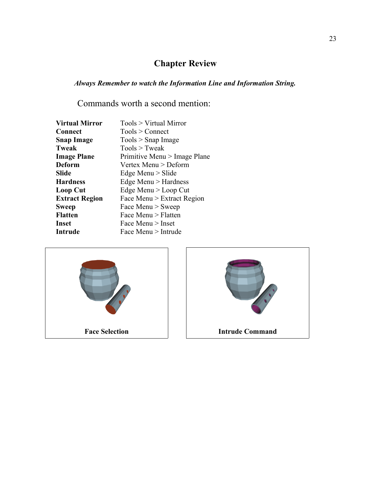## **Chapter Review**

*Always Remember to watch the Information Line and Information String.*

Commands worth a second mention:

| <b>Virtual Mirror</b> | Tools > Virtual Mirror       |
|-----------------------|------------------------------|
| <b>Connect</b>        | Tools > Connect              |
| <b>Snap Image</b>     | $Tools >$ Snap Image         |
| <b>Tweak</b>          | $Tools$ > Tweak              |
| <b>Image Plane</b>    | Primitive Menu > Image Plane |
| Deform                | Vertex Menu > Deform         |
| Slide                 | Edge Menu $>$ Slide          |
| <b>Hardness</b>       | Edge Menu > Hardness         |
| Loop Cut              | Edge Menu > Loop Cut         |
| <b>Extract Region</b> | Face Menu > Extract Region   |
| <b>Sweep</b>          | Face Menu $>$ Sweep          |
| <b>Flatten</b>        | Face Menu > Flatten          |
| Inset                 | Face Menu $>$ Inset          |
| <b>Intrude</b>        | Face Menu > Intrude          |



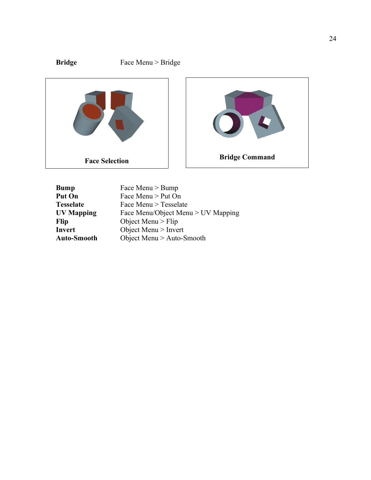

| <b>Bump</b>        | Face Menu > Bump                   |
|--------------------|------------------------------------|
| <b>Put On</b>      | Face Menu > Put On                 |
| <b>Tesselate</b>   | Face Menu > Tesselate              |
| <b>UV Mapping</b>  | Face Menu/Object Menu > UV Mapping |
| <b>Flip</b>        | Object Menu $>$ Flip               |
| Invert             | Object Menu > Invert               |
| <b>Auto-Smooth</b> | Object Menu $>$ Auto-Smooth        |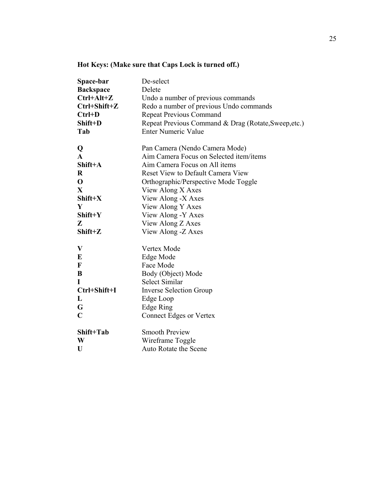| Space-bar<br><b>Backspace</b><br>$Ctrl+Alt+Z$<br>$Ctrl + Shift + Z$<br>$Ctrl+D$<br>Shift+D<br>Tab | De-select<br>Delete<br>Undo a number of previous commands<br>Redo a number of previous Undo commands<br><b>Repeat Previous Command</b><br>Repeat Previous Command & Drag (Rotate, Sweep, etc.)<br><b>Enter Numeric Value</b> |
|---------------------------------------------------------------------------------------------------|------------------------------------------------------------------------------------------------------------------------------------------------------------------------------------------------------------------------------|
| Q                                                                                                 | Pan Camera (Nendo Camera Mode)                                                                                                                                                                                               |
| $\mathbf{A}$                                                                                      | Aim Camera Focus on Selected item/items                                                                                                                                                                                      |
| Shift+A                                                                                           | Aim Camera Focus on All items                                                                                                                                                                                                |
| $\bf R$                                                                                           | <b>Reset View to Default Camera View</b>                                                                                                                                                                                     |
| $\mathbf 0$                                                                                       | Orthographic/Perspective Mode Toggle                                                                                                                                                                                         |
| $\mathbf{X}$                                                                                      | View Along X Axes                                                                                                                                                                                                            |
| Shift+X                                                                                           | View Along -X Axes                                                                                                                                                                                                           |
| Y                                                                                                 | View Along Y Axes                                                                                                                                                                                                            |
| Shift+Y                                                                                           | View Along -Y Axes                                                                                                                                                                                                           |
| Z                                                                                                 | View Along Z Axes                                                                                                                                                                                                            |
| Shift+Z                                                                                           | View Along - Z Axes                                                                                                                                                                                                          |
| $\boldsymbol{\mathrm{V}}$                                                                         | Vertex Mode                                                                                                                                                                                                                  |
| E                                                                                                 | Edge Mode                                                                                                                                                                                                                    |
| $\mathbf F$                                                                                       | Face Mode                                                                                                                                                                                                                    |
| B                                                                                                 | Body (Object) Mode                                                                                                                                                                                                           |
| I                                                                                                 | <b>Select Similar</b>                                                                                                                                                                                                        |
| Ctrl+Shift+I                                                                                      | <b>Inverse Selection Group</b>                                                                                                                                                                                               |
| L                                                                                                 | Edge Loop                                                                                                                                                                                                                    |
| G                                                                                                 | Edge Ring                                                                                                                                                                                                                    |
| $\mathbf C$                                                                                       | <b>Connect Edges or Vertex</b>                                                                                                                                                                                               |
| Shift+Tab                                                                                         | <b>Smooth Preview</b>                                                                                                                                                                                                        |
| W                                                                                                 | Wireframe Toggle                                                                                                                                                                                                             |
| U                                                                                                 | Auto Rotate the Scene                                                                                                                                                                                                        |

### **Hot Keys: (Make sure that Caps Lock is turned off.)**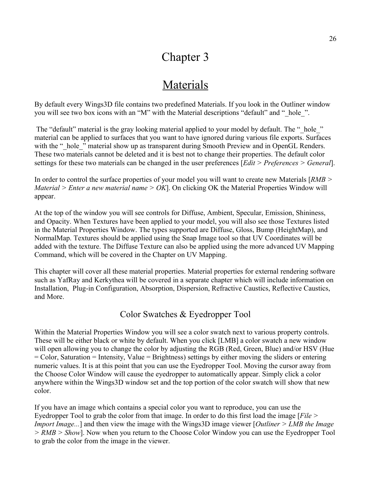## Chapter 3

## Materials

By default every Wings3D file contains two predefined Materials. If you look in the Outliner window you will see two box icons with an "M" with the Material descriptions "default" and " hole ".

The "default" material is the gray looking material applied to your model by default. The " hole " material can be applied to surfaces that you want to have ignored during various file exports. Surfaces with the " hole " material show up as transparent during Smooth Preview and in OpenGL Renders. These two materials cannot be deleted and it is best not to change their properties. The default color settings for these two materials can be changed in the user preferences [*Edit > Preferences > General*].

In order to control the surface properties of your model you will want to create new Materials [*RMB > Material > Enter a new material name > OK*]. On clicking OK the Material Properties Window will appear.

At the top of the window you will see controls for Diffuse, Ambient, Specular, Emission, Shininess, and Opacity. When Textures have been applied to your model, you will also see those Textures listed in the Material Properties Window. The types supported are Diffuse, Gloss, Bump (HeightMap), and NormalMap. Textures should be applied using the Snap Image tool so that UV Coordinates will be added with the texture. The Diffuse Texture can also be applied using the more advanced UV Mapping Command, which will be covered in the Chapter on UV Mapping.

This chapter will cover all these material properties. Material properties for external rendering software such as YafRay and Kerkythea will be covered in a separate chapter which will include information on Installation, Plug-in Configuration, Absorption, Dispersion, Refractive Caustics, Reflective Caustics, and More.

#### Color Swatches & Eyedropper Tool

Within the Material Properties Window you will see a color swatch next to various property controls. These will be either black or white by default. When you click [LMB] a color swatch a new window will open allowing you to change the color by adjusting the RGB (Red, Green, Blue) and/or HSV (Hue = Color, Saturation = Intensity, Value = Brightness) settings by either moving the sliders or entering numeric values. It is at this point that you can use the Eyedropper Tool. Moving the cursor away from the Choose Color Window will cause the eyedropper to automatically appear. Simply click a color anywhere within the Wings3D window set and the top portion of the color swatch will show that new color.

If you have an image which contains a special color you want to reproduce, you can use the Eyedropper Tool to grab the color from that image. In order to do this first load the image [*File > Import Image...*] and then view the image with the Wings3D image viewer [*Outliner > LMB the Image > RMB > Show*]. Now when you return to the Choose Color Window you can use the Eyedropper Tool to grab the color from the image in the viewer.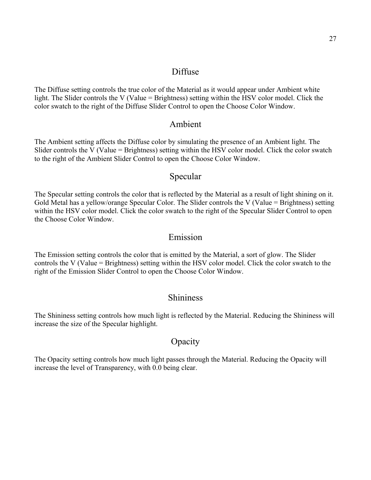#### Diffuse

The Diffuse setting controls the true color of the Material as it would appear under Ambient white light. The Slider controls the V (Value = Brightness) setting within the HSV color model. Click the color swatch to the right of the Diffuse Slider Control to open the Choose Color Window.

#### Ambient

The Ambient setting affects the Diffuse color by simulating the presence of an Ambient light. The Slider controls the V (Value = Brightness) setting within the HSV color model. Click the color swatch to the right of the Ambient Slider Control to open the Choose Color Window.

#### Specular

The Specular setting controls the color that is reflected by the Material as a result of light shining on it. Gold Metal has a yellow/orange Specular Color. The Slider controls the V (Value = Brightness) setting within the HSV color model. Click the color swatch to the right of the Specular Slider Control to open the Choose Color Window.

#### Emission

The Emission setting controls the color that is emitted by the Material, a sort of glow. The Slider controls the V (Value = Brightness) setting within the HSV color model. Click the color swatch to the right of the Emission Slider Control to open the Choose Color Window.

#### **Shininess**

The Shininess setting controls how much light is reflected by the Material. Reducing the Shininess will increase the size of the Specular highlight.

#### **Opacity**

The Opacity setting controls how much light passes through the Material. Reducing the Opacity will increase the level of Transparency, with 0.0 being clear.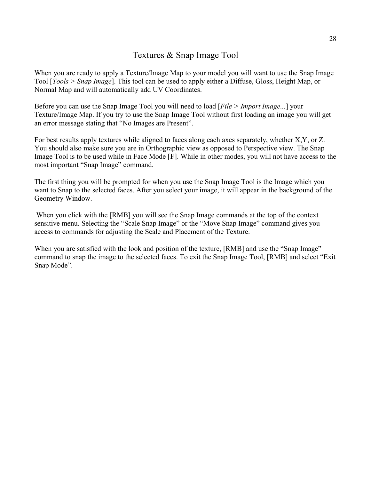#### Textures & Snap Image Tool

When you are ready to apply a Texture/Image Map to your model you will want to use the Snap Image Tool [*Tools > Snap Image*]. This tool can be used to apply either a Diffuse, Gloss, Height Map, or Normal Map and will automatically add UV Coordinates.

Before you can use the Snap Image Tool you will need to load [*File > Import Image...*] your Texture/Image Map. If you try to use the Snap Image Tool without first loading an image you will get an error message stating that "No Images are Present".

For best results apply textures while aligned to faces along each axes separately, whether X,Y, or Z. You should also make sure you are in Orthographic view as opposed to Perspective view. The Snap Image Tool is to be used while in Face Mode [**F**]. While in other modes, you will not have access to the most important "Snap Image" command.

The first thing you will be prompted for when you use the Snap Image Tool is the Image which you want to Snap to the selected faces. After you select your image, it will appear in the background of the Geometry Window.

When you click with the [RMB] you will see the Snap Image commands at the top of the context sensitive menu. Selecting the "Scale Snap Image" or the "Move Snap Image" command gives you access to commands for adjusting the Scale and Placement of the Texture.

When you are satisfied with the look and position of the texture, [RMB] and use the "Snap Image" command to snap the image to the selected faces. To exit the Snap Image Tool, [RMB] and select "Exit Snap Mode".